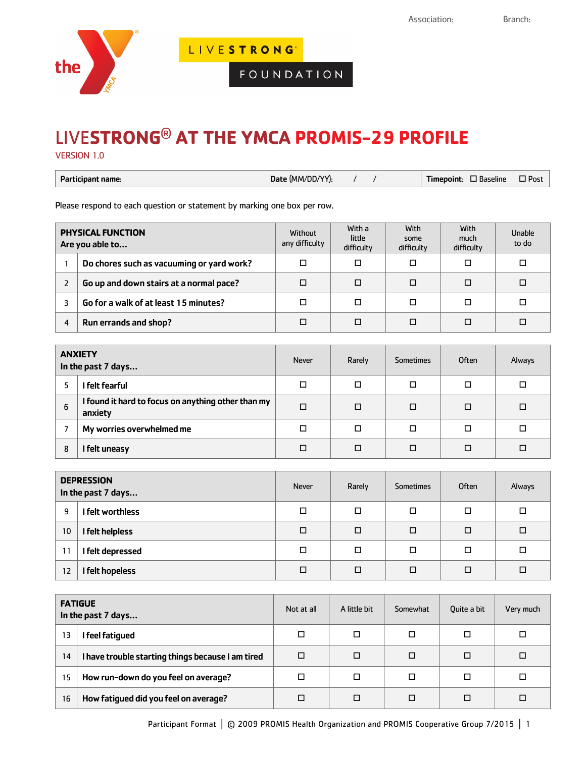

LIVESTRONG<sup>\*</sup>

FOUNDATION

## LIVE**STRONG**® **AT THE YMCA PROMIS-29 PROFILE**

VERSION 1.0

| Date (MM/DD/YY):<br>Participant name: | $\square$ Baseline<br>Timepoint: | $\Box$ Post |
|---------------------------------------|----------------------------------|-------------|
|---------------------------------------|----------------------------------|-------------|

Please respond to each question or statement by marking one box per row.

| <b>PHYSICAL FUNCTION</b><br>Are you able to |                                           | Without<br>any difficulty | With a<br>little<br>difficulty | <b>With</b><br>some<br>difficulty | <b>With</b><br>much<br>difficulty | Unable<br>to do |
|---------------------------------------------|-------------------------------------------|---------------------------|--------------------------------|-----------------------------------|-----------------------------------|-----------------|
|                                             | Do chores such as vacuuming or yard work? |                           | П                              | П                                 | □                                 | □               |
|                                             | Go up and down stairs at a normal pace?   |                           | П                              | П                                 |                                   | □               |
|                                             | Go for a walk of at least 15 minutes?     |                           | П                              | Π                                 |                                   | □               |
| $\overline{4}$                              | Run errands and shop?                     |                           | П                              | п                                 |                                   | □               |

|   | <b>ANXIETY</b><br>In the past 7 days                          | <b>Never</b> | Rarely | <b>Sometimes</b> | Often | Always |
|---|---------------------------------------------------------------|--------------|--------|------------------|-------|--------|
|   | I felt fearful                                                |              | п      |                  | ◻     | □      |
| 6 | I found it hard to focus on anything other than my<br>anxiety | □            | ◻      | □                | ◻     | □      |
|   | My worries overwhelmed me                                     |              | ◻      | □                | ◻     | □      |
| 8 | I felt uneasy                                                 |              | П      |                  | □     | □      |

|    | <b>DEPRESSION</b><br>In the past 7 days | <b>Never</b> | Rarely | <b>Sometimes</b> | Often | Always |
|----|-----------------------------------------|--------------|--------|------------------|-------|--------|
| 9  | I felt worthless                        | □            | □      | □                | □     | ◻      |
| 10 | I felt helpless                         | □            | □      | □                | □     | □      |
| 11 | I felt depressed                        | □            | □      | □                | □     | ◻      |
| 12 | I felt hopeless                         | □            |        | □                | □     | □      |

| <b>FATIGUE</b><br>In the past 7 days |                                                   | Not at all | A little bit | Somewhat | Ouite a bit | Very much |
|--------------------------------------|---------------------------------------------------|------------|--------------|----------|-------------|-----------|
| 13                                   | feel fatiqued                                     | □          | □            | ◻        | □           | $\Box$    |
| 14                                   | I have trouble starting things because I am tired | $\Box$     | □            | □        | □           | □         |
| 15                                   | How run-down do you feel on average?              | ◻          | □            | П        | □           | □         |
| 16                                   | How fatigued did you feel on average?             | П          | □            |          | □           | □         |